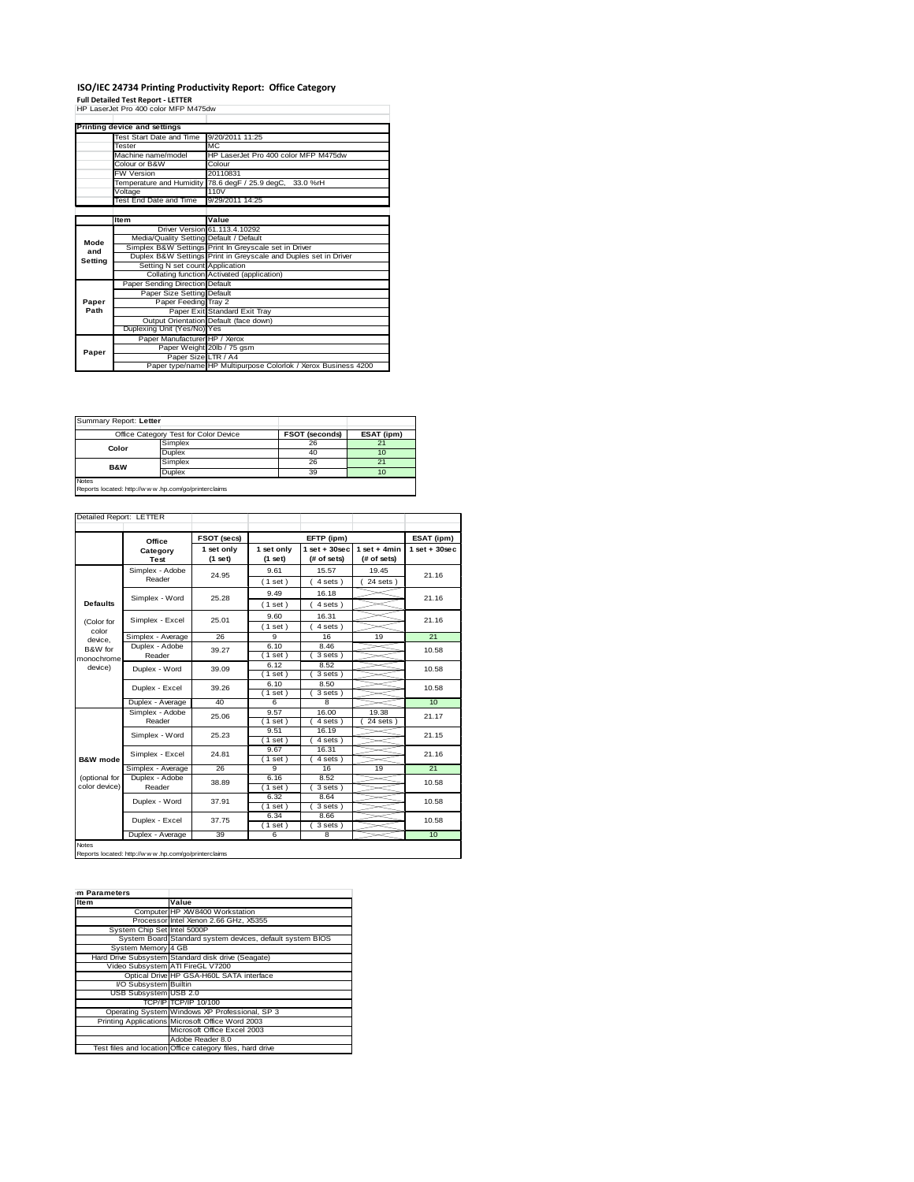## ISO/IEC 24734 Printing Productivity Report: Office Category<br>Full Detailed Test Report - LETTER<br>HP LaserJet Pro 400 color MFP M475dw

|         | Printing device and settings            |                                                                 |
|---------|-----------------------------------------|-----------------------------------------------------------------|
|         | Test Start Date and Time                | 9/20/2011 11:25                                                 |
|         | Tester                                  | MC.                                                             |
|         | Machine name/model                      | HP LaserJet Pro 400 color MFP M475dw                            |
|         | Colour or B&W                           | Colour                                                          |
|         | <b>FW Version</b>                       | 20110831                                                        |
|         |                                         | Temperature and Humidity 78.6 degF / 25.9 degC, 33.0 %rH        |
|         | Voltage                                 | 110V                                                            |
|         | Test End Date and Time                  | 9/29/2011 14:25                                                 |
|         |                                         |                                                                 |
|         | Item                                    | Value                                                           |
|         |                                         | Driver Version 61.113.4.10292                                   |
| Mode    | Media/Quality Setting Default / Default |                                                                 |
| and     |                                         | Simplex B&W Settings Print In Greyscale set in Driver           |
| Setting |                                         | Duplex B&W Settings Print in Greyscale and Duples set in Driver |
|         | Setting N set count Application         |                                                                 |
|         |                                         | Collating function Activated (application)                      |
|         | Paper Sending Direction Default         |                                                                 |
|         | Paper Size Setting Default              |                                                                 |
| Paper   | Paper Feeding Tray 2                    |                                                                 |
| Path    |                                         | Paper Exit Standard Exit Tray                                   |
|         |                                         | Output Orientation Default (face down)                          |
|         | Duplexing Unit (Yes/No) Yes             |                                                                 |
|         | Paper Manufacturer HP / Xerox           |                                                                 |
| Paper   |                                         | Paper Weight 20lb / 75 gsm                                      |
|         | Paper Size LTR / A4                     |                                                                 |
|         |                                         | Paper type/name HP Multipurpose Colorlok / Xerox Business 4200  |

| Summary Report: Letter                                                 |                                       |                       |            |  |
|------------------------------------------------------------------------|---------------------------------------|-----------------------|------------|--|
|                                                                        | Office Category Test for Color Device | <b>FSOT (seconds)</b> | ESAT (ipm) |  |
| Color                                                                  | Simplex                               | 26                    | 21         |  |
|                                                                        | Duplex                                | 40                    | 10         |  |
| <b>B&amp;W</b>                                                         | Simplex                               | 26                    | 21         |  |
|                                                                        | Duplex                                | 39                    | 10         |  |
| <b>Notes</b><br>Reports located: http://w w w .hp.com/go/printerclaims |                                       |                       |            |  |

|                                | Office                    | FSOT (secs)           |                         | EFTP (ipm)                     |                               | ESAT (ipm)      |
|--------------------------------|---------------------------|-----------------------|-------------------------|--------------------------------|-------------------------------|-----------------|
|                                | Category<br>Test          | 1 set only<br>(1 set) | 1 set only<br>$(1$ set) | $1$ set + 30sec<br>(# of sets) | $1$ set + 4min<br>(# of sets) | $1$ set + 30sec |
|                                | Simplex - Adobe<br>Reader | 24.95                 | 9.61<br>(1 set)         | 15.57<br>4 sets)               | 19.45<br>$24$ sets)           | 21.16           |
| <b>Defaults</b>                | Simplex - Word            | 25.28                 | 9.49<br>(1 set)         | 16.18<br>4 sets)               |                               | 21.16           |
| (Color for                     | Simplex - Excel           | 25.01                 | 9.60<br>(1 set)         | 16.31<br>4 sets)               |                               | 21.16           |
| color<br>device.               | Simplex - Average         | 26                    | 9                       | 16                             | 19                            | 21              |
| B&W for<br>monochrome          | Duplex - Adobe<br>Reader  | 39.27                 | 6.10<br>$1$ set)        | 8.46<br>3 sets)                |                               | 10.58           |
| device)                        | Duplex - Word             | 39.09                 | 6.12<br>$1$ set)        | 8.52<br>3 sets)                |                               | 10.58           |
|                                | Duplex - Excel            | 39.26                 | 6.10<br>(1 set)         | 8.50<br>3 sets)                |                               | 10.58           |
|                                | Duplex - Average          | 40                    | 6                       | 8                              |                               | 10              |
| <b>B&amp;W</b> mode            | Simplex - Adobe<br>Reader | 25.06                 | 9.57<br>(1 set)         | 16.00<br>4 sets)               | 19.38<br>$24$ sets $)$        | 21.17           |
|                                | Simplex - Word            | 25.23                 | 9.51<br>$1$ set)        | 16.19<br>4 sets)               |                               | 21.15           |
|                                | Simplex - Excel           | 24.81                 | 9.67<br>$1$ set)        | 16.31<br>4 sets)               |                               | 21.16           |
|                                | Simplex - Average         | 26                    | 9                       | 16                             | 19                            | 21              |
| (optional for<br>color device) | Duplex - Adobe<br>Reader  | 38.89                 | 6.16<br>(1 set)         | 8.52<br>3 sets)                |                               | 10.58           |
|                                | Duplex - Word             | 37.91                 | 6.32<br>$1$ set)        | 8.64<br>3 sets)                |                               | 10.58           |
|                                | Duplex - Excel            | 37.75                 | 6.34<br>$1$ set)        | 8.66<br>3 sets)                |                               | 10.58           |
|                                | Duplex - Average          | 39                    | 6                       | 8                              |                               | 10              |

Notes Reports located: http://w w w .hp.com/go/printerclaims

| m Parameters                 |                                                           |
|------------------------------|-----------------------------------------------------------|
| Item                         | Value                                                     |
|                              | Computer HP XW8400 Workstation                            |
|                              | Processor Intel Xenon 2.66 GHz, X5355                     |
| System Chip Set Intel 5000P  |                                                           |
|                              | System Board Standard system devices, default system BIOS |
| System Memory 4 GB           |                                                           |
|                              | Hard Drive Subsystem Standard disk drive (Seagate)        |
|                              | Video Subsystem ATI FireGL V7200                          |
|                              | Optical Drive HP GSA-H60L SATA interface                  |
| VO Subsystem Builtin         |                                                           |
| <b>USB Subsystem USB 2.0</b> |                                                           |
|                              | TCP/IPITCP/IP 10/100                                      |
|                              | Operating System Windows XP Professional, SP 3            |
|                              | Printing Applications Microsoft Office Word 2003          |
|                              | Microsoft Office Excel 2003                               |
|                              | Adobe Reader 8.0                                          |
|                              | Test files and location Office category files, hard drive |